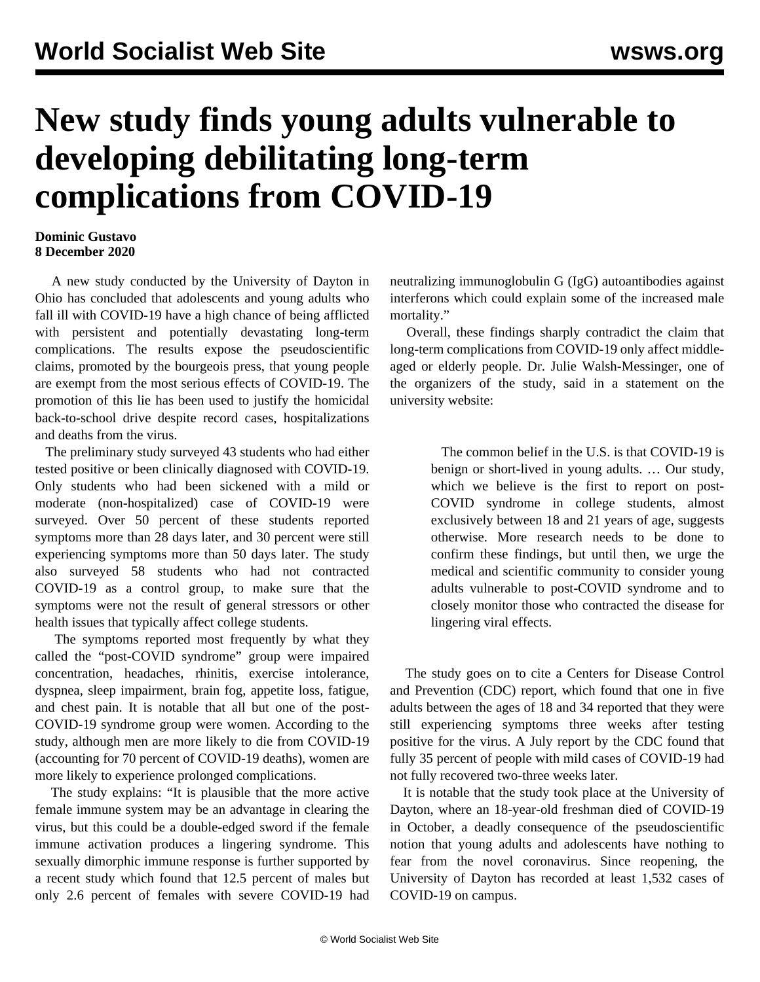## **New study finds young adults vulnerable to developing debilitating long-term complications from COVID-19**

## **Dominic Gustavo 8 December 2020**

 A new study conducted by the University of Dayton in Ohio has concluded that adolescents and young adults who fall ill with COVID-19 have a high chance of being afflicted with persistent and potentially devastating long-term complications. The results expose the pseudoscientific claims, promoted by the bourgeois press, that young people are exempt from the most serious effects of COVID-19. The promotion of this lie has been used to justify the homicidal back-to-school drive despite record cases, hospitalizations and deaths from the virus.

 The preliminary study surveyed 43 students who had either tested positive or been clinically diagnosed with COVID-19. Only students who had been sickened with a mild or moderate (non-hospitalized) case of COVID-19 were surveyed. Over 50 percent of these students reported symptoms more than 28 days later, and 30 percent were still experiencing symptoms more than 50 days later. The study also surveyed 58 students who had not contracted COVID-19 as a control group, to make sure that the symptoms were not the result of general stressors or other health issues that typically affect college students.

 The symptoms reported most frequently by what they called the "post-COVID syndrome" group were impaired concentration, headaches, rhinitis, exercise intolerance, dyspnea, sleep impairment, brain fog, appetite loss, fatigue, and chest pain. It is notable that all but one of the post-COVID-19 syndrome group were women. According to the study, although men are more likely to die from COVID-19 (accounting for 70 percent of COVID-19 deaths), women are more likely to experience prolonged complications.

 The study explains: "It is plausible that the more active female immune system may be an advantage in clearing the virus, but this could be a double-edged sword if the female immune activation produces a lingering syndrome. This sexually dimorphic immune response is further supported by a recent study which found that 12.5 percent of males but only 2.6 percent of females with severe COVID-19 had neutralizing immunoglobulin G (IgG) autoantibodies against interferons which could explain some of the increased male mortality."

 Overall, these findings sharply contradict the claim that long-term complications from COVID-19 only affect middleaged or elderly people. Dr. Julie Walsh-Messinger, one of the organizers of the study, said in a statement on the university website:

> The common belief in the U.S. is that COVID-19 is benign or short-lived in young adults. … Our study, which we believe is the first to report on post-COVID syndrome in college students, almost exclusively between 18 and 21 years of age, suggests otherwise. More research needs to be done to confirm these findings, but until then, we urge the medical and scientific community to consider young adults vulnerable to post-COVID syndrome and to closely monitor those who contracted the disease for lingering viral effects.

 The study goes on to cite a Centers for Disease Control and Prevention (CDC) report, which found that one in five adults between the ages of 18 and 34 reported that they were still experiencing symptoms three weeks after testing positive for the virus. A July report by the CDC found that fully 35 percent of people with mild cases of COVID-19 had not fully recovered two-three weeks later.

 It is notable that the study took place at the University of Dayton, where an [18-year-old](/share/page/site/wsws/) [freshman](/share/page/site/wsws/) [died](/share/page/site/wsws/) [of](/share/page/site/wsws/) [COVID-19](/share/page/site/wsws/) in October, a deadly consequence of the pseudoscientific notion that young adults and adolescents have nothing to fear from the novel coronavirus. Since reopening, the University of Dayton has recorded at least 1,532 cases of COVID-19 on campus.